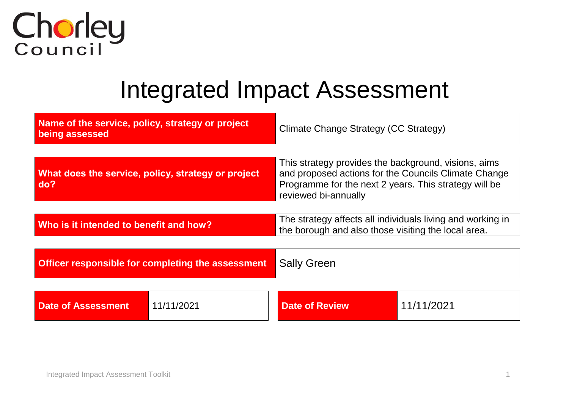

## Integrated Impact Assessment

| Name of the service, policy, strategy or project<br>being assessed |                                                    | Climate Change Strategy (CC Strategy)                                                                                                                                                         |            |  |  |  |
|--------------------------------------------------------------------|----------------------------------------------------|-----------------------------------------------------------------------------------------------------------------------------------------------------------------------------------------------|------------|--|--|--|
| do?                                                                | What does the service, policy, strategy or project | This strategy provides the background, visions, aims<br>and proposed actions for the Councils Climate Change<br>Programme for the next 2 years. This strategy will be<br>reviewed bi-annually |            |  |  |  |
| Who is it intended to benefit and how?                             |                                                    | The strategy affects all individuals living and working in<br>the borough and also those visiting the local area.                                                                             |            |  |  |  |
|                                                                    | Officer responsible for completing the assessment  | <b>Sally Green</b>                                                                                                                                                                            |            |  |  |  |
| <b>Date of Assessment</b>                                          | 11/11/2021                                         | <b>Date of Review</b>                                                                                                                                                                         | 11/11/2021 |  |  |  |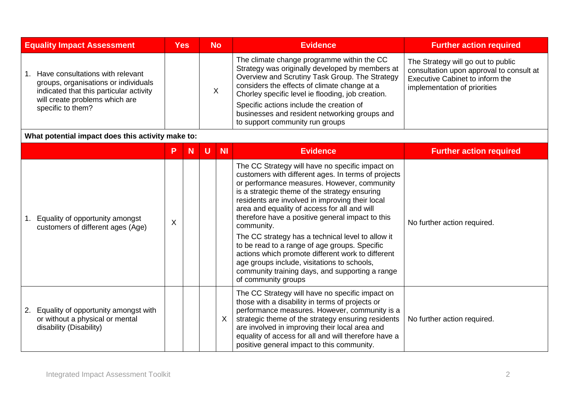| <b>Equality Impact Assessment</b>                                                                                                                                          | <b>Yes</b>                |   |   | <b>No</b> | <b>Evidence</b>                                                                                                                                                                                                                                                                                                                                                                                                                                                                                                                                                                                                                                                 | <b>Further action required</b>                                                                                                                    |
|----------------------------------------------------------------------------------------------------------------------------------------------------------------------------|---------------------------|---|---|-----------|-----------------------------------------------------------------------------------------------------------------------------------------------------------------------------------------------------------------------------------------------------------------------------------------------------------------------------------------------------------------------------------------------------------------------------------------------------------------------------------------------------------------------------------------------------------------------------------------------------------------------------------------------------------------|---------------------------------------------------------------------------------------------------------------------------------------------------|
| Have consultations with relevant<br>groups, organisations or individuals<br>indicated that this particular activity<br>will create problems which are<br>specific to them? |                           |   |   | X         | The climate change programme within the CC<br>Strategy was originally developed by members at<br>Overview and Scrutiny Task Group. The Strategy<br>considers the effects of climate change at a<br>Chorley specific level ie flooding, job creation.<br>Specific actions include the creation of<br>businesses and resident networking groups and<br>to support community run groups                                                                                                                                                                                                                                                                            | The Strategy will go out to public<br>consultation upon approval to consult at<br>Executive Cabinet to inform the<br>implementation of priorities |
| What potential impact does this activity make to:                                                                                                                          |                           |   |   |           |                                                                                                                                                                                                                                                                                                                                                                                                                                                                                                                                                                                                                                                                 |                                                                                                                                                   |
|                                                                                                                                                                            | P                         | N | U | <b>NI</b> | <b>Evidence</b>                                                                                                                                                                                                                                                                                                                                                                                                                                                                                                                                                                                                                                                 | <b>Further action required</b>                                                                                                                    |
| Equality of opportunity amongst<br>1 <sub>1</sub><br>customers of different ages (Age)                                                                                     | $\boldsymbol{\mathsf{X}}$ |   |   |           | The CC Strategy will have no specific impact on<br>customers with different ages. In terms of projects<br>or performance measures. However, community<br>is a strategic theme of the strategy ensuring<br>residents are involved in improving their local<br>area and equality of access for all and will<br>therefore have a positive general impact to this<br>community.<br>The CC strategy has a technical level to allow it<br>to be read to a range of age groups. Specific<br>actions which promote different work to different<br>age groups include, visitations to schools,<br>community training days, and supporting a range<br>of community groups | No further action required.                                                                                                                       |
| 2. Equality of opportunity amongst with<br>or without a physical or mental<br>disability (Disability)                                                                      |                           |   |   | X         | The CC Strategy will have no specific impact on<br>those with a disability in terms of projects or<br>performance measures. However, community is a<br>strategic theme of the strategy ensuring residents<br>are involved in improving their local area and<br>equality of access for all and will therefore have a<br>positive general impact to this community.                                                                                                                                                                                                                                                                                               | No further action required.                                                                                                                       |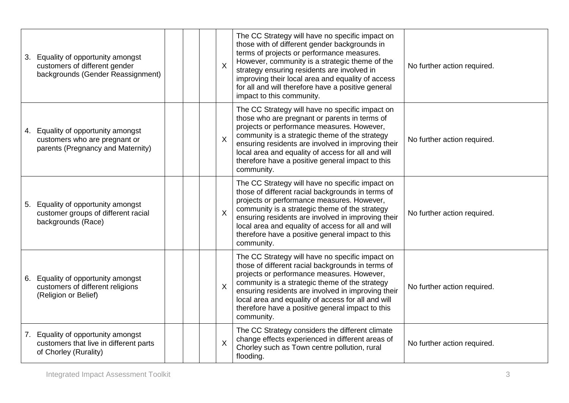| Equality of opportunity amongst<br>3.<br>customers of different gender<br>backgrounds (Gender Reassignment) |  | $\sf X$                   | The CC Strategy will have no specific impact on<br>those with of different gender backgrounds in<br>terms of projects or performance measures.<br>However, community is a strategic theme of the<br>strategy ensuring residents are involved in<br>improving their local area and equality of access<br>for all and will therefore have a positive general<br>impact to this community. | No further action required. |
|-------------------------------------------------------------------------------------------------------------|--|---------------------------|-----------------------------------------------------------------------------------------------------------------------------------------------------------------------------------------------------------------------------------------------------------------------------------------------------------------------------------------------------------------------------------------|-----------------------------|
| 4. Equality of opportunity amongst<br>customers who are pregnant or<br>parents (Pregnancy and Maternity)    |  | $\sf X$                   | The CC Strategy will have no specific impact on<br>those who are pregnant or parents in terms of<br>projects or performance measures. However,<br>community is a strategic theme of the strategy<br>ensuring residents are involved in improving their<br>local area and equality of access for all and will<br>therefore have a positive general impact to this<br>community.          | No further action required. |
| Equality of opportunity amongst<br>5.<br>customer groups of different racial<br>backgrounds (Race)          |  | $\sf X$                   | The CC Strategy will have no specific impact on<br>those of different racial backgrounds in terms of<br>projects or performance measures. However,<br>community is a strategic theme of the strategy<br>ensuring residents are involved in improving their<br>local area and equality of access for all and will<br>therefore have a positive general impact to this<br>community.      | No further action required. |
| Equality of opportunity amongst<br>6.<br>customers of different religions<br>(Religion or Belief)           |  | $\sf X$                   | The CC Strategy will have no specific impact on<br>those of different racial backgrounds in terms of<br>projects or performance measures. However,<br>community is a strategic theme of the strategy<br>ensuring residents are involved in improving their<br>local area and equality of access for all and will<br>therefore have a positive general impact to this<br>community.      | No further action required. |
| Equality of opportunity amongst<br>7.<br>customers that live in different parts<br>of Chorley (Rurality)    |  | $\boldsymbol{\mathsf{X}}$ | The CC Strategy considers the different climate<br>change effects experienced in different areas of<br>Chorley such as Town centre pollution, rural<br>flooding.                                                                                                                                                                                                                        | No further action required. |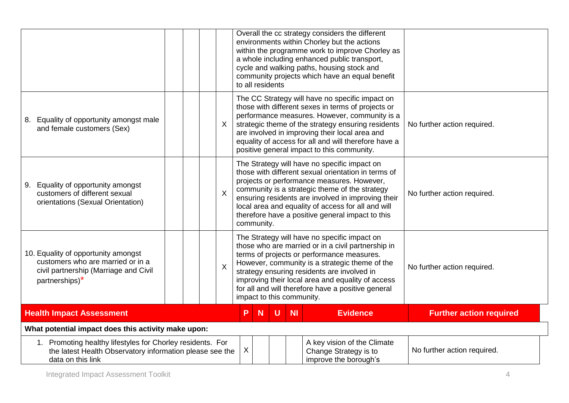|                                                                                                                                             |  |                           |    | to all residents |                           |                                                                               | Overall the cc strategy considers the different<br>environments within Chorley but the actions<br>within the programme work to improve Chorley as<br>a whole including enhanced public transport,<br>cycle and walking paths, housing stock and<br>community projects which have an equal benefit                                                                    |                                |
|---------------------------------------------------------------------------------------------------------------------------------------------|--|---------------------------|----|------------------|---------------------------|-------------------------------------------------------------------------------|----------------------------------------------------------------------------------------------------------------------------------------------------------------------------------------------------------------------------------------------------------------------------------------------------------------------------------------------------------------------|--------------------------------|
| 8. Equality of opportunity amongst male<br>and female customers (Sex)                                                                       |  | $\sf X$                   |    |                  |                           |                                                                               | The CC Strategy will have no specific impact on<br>those with different sexes in terms of projects or<br>performance measures. However, community is a<br>strategic theme of the strategy ensuring residents<br>are involved in improving their local area and<br>equality of access for all and will therefore have a<br>positive general impact to this community. | No further action required.    |
| 9. Equality of opportunity amongst<br>customers of different sexual<br>orientations (Sexual Orientation)                                    |  | $\sf X$                   |    | community.       |                           |                                                                               | The Strategy will have no specific impact on<br>those with different sexual orientation in terms of<br>projects or performance measures. However,<br>community is a strategic theme of the strategy<br>ensuring residents are involved in improving their<br>local area and equality of access for all and will<br>therefore have a positive general impact to this  | No further action required.    |
| 10. Equality of opportunity amongst<br>customers who are married or in a<br>civil partnership (Marriage and Civil<br>partnerships)*         |  | $\boldsymbol{\mathsf{X}}$ |    |                  | impact to this community. |                                                                               | The Strategy will have no specific impact on<br>those who are married or in a civil partnership in<br>terms of projects or performance measures.<br>However, community is a strategic theme of the<br>strategy ensuring residents are involved in<br>improving their local area and equality of access<br>for all and will therefore have a positive general         | No further action required.    |
| <b>Health Impact Assessment</b>                                                                                                             |  |                           | P. | <b>N</b>         | $\mathsf{U}$              | <b>NI</b>                                                                     | <b>Evidence</b>                                                                                                                                                                                                                                                                                                                                                      | <b>Further action required</b> |
| What potential impact does this activity make upon:                                                                                         |  |                           |    |                  |                           |                                                                               |                                                                                                                                                                                                                                                                                                                                                                      |                                |
| 1. Promoting healthy lifestyles for Chorley residents. For<br>the latest Health Observatory information please see the<br>data on this link |  | X                         |    |                  |                           | A key vision of the Climate<br>Change Strategy is to<br>improve the borough's | No further action required.                                                                                                                                                                                                                                                                                                                                          |                                |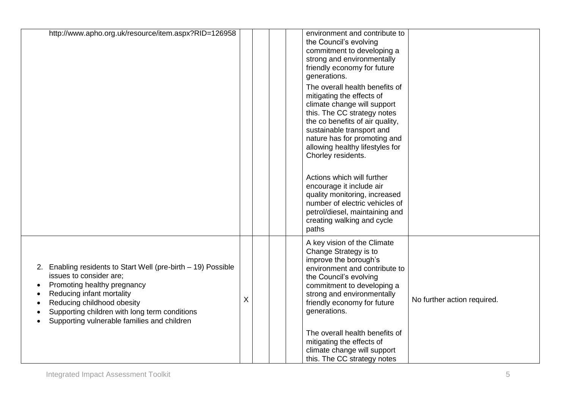| http://www.apho.org.uk/resource/item.aspx?RID=126958                                                                                                                                                                                                                               |   |  | environment and contribute to<br>the Council's evolving<br>commitment to developing a<br>strong and environmentally<br>friendly economy for future<br>generations.<br>The overall health benefits of<br>mitigating the effects of<br>climate change will support<br>this. The CC strategy notes<br>the co benefits of air quality,<br>sustainable transport and<br>nature has for promoting and<br>allowing healthy lifestyles for<br>Chorley residents.<br>Actions which will further<br>encourage it include air<br>quality monitoring, increased<br>number of electric vehicles of<br>petrol/diesel, maintaining and<br>creating walking and cycle<br>paths |                             |
|------------------------------------------------------------------------------------------------------------------------------------------------------------------------------------------------------------------------------------------------------------------------------------|---|--|----------------------------------------------------------------------------------------------------------------------------------------------------------------------------------------------------------------------------------------------------------------------------------------------------------------------------------------------------------------------------------------------------------------------------------------------------------------------------------------------------------------------------------------------------------------------------------------------------------------------------------------------------------------|-----------------------------|
| 2. Enabling residents to Start Well (pre-birth - 19) Possible<br>issues to consider are;<br>Promoting healthy pregnancy<br>Reducing infant mortality<br>Reducing childhood obesity<br>Supporting children with long term conditions<br>Supporting vulnerable families and children | Χ |  | A key vision of the Climate<br>Change Strategy is to<br>improve the borough's<br>environment and contribute to<br>the Council's evolving<br>commitment to developing a<br>strong and environmentally<br>friendly economy for future<br>generations.<br>The overall health benefits of<br>mitigating the effects of<br>climate change will support<br>this. The CC strategy notes                                                                                                                                                                                                                                                                               | No further action required. |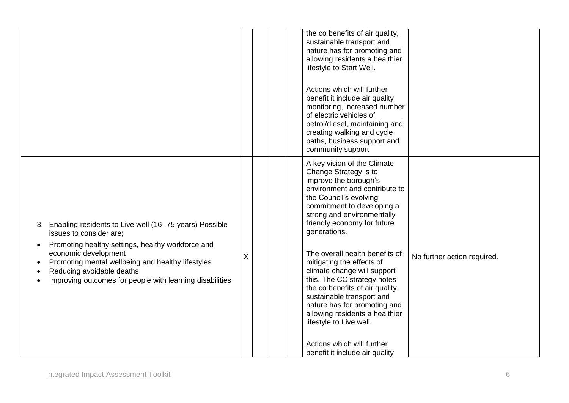|                                                                                                                                                                                                                                                                                                                               |   |  | the co benefits of air quality,<br>sustainable transport and<br>nature has for promoting and<br>allowing residents a healthier<br>lifestyle to Start Well.<br>Actions which will further<br>benefit it include air quality<br>monitoring, increased number<br>of electric vehicles of<br>petrol/diesel, maintaining and<br>creating walking and cycle<br>paths, business support and<br>community support                                                                                                                                                                                                     |                             |
|-------------------------------------------------------------------------------------------------------------------------------------------------------------------------------------------------------------------------------------------------------------------------------------------------------------------------------|---|--|---------------------------------------------------------------------------------------------------------------------------------------------------------------------------------------------------------------------------------------------------------------------------------------------------------------------------------------------------------------------------------------------------------------------------------------------------------------------------------------------------------------------------------------------------------------------------------------------------------------|-----------------------------|
| 3. Enabling residents to Live well (16 -75 years) Possible<br>issues to consider are;<br>Promoting healthy settings, healthy workforce and<br>$\bullet$<br>economic development<br>Promoting mental wellbeing and healthy lifestyles<br>Reducing avoidable deaths<br>Improving outcomes for people with learning disabilities | Χ |  | A key vision of the Climate<br>Change Strategy is to<br>improve the borough's<br>environment and contribute to<br>the Council's evolving<br>commitment to developing a<br>strong and environmentally<br>friendly economy for future<br>generations.<br>The overall health benefits of<br>mitigating the effects of<br>climate change will support<br>this. The CC strategy notes<br>the co benefits of air quality,<br>sustainable transport and<br>nature has for promoting and<br>allowing residents a healthier<br>lifestyle to Live well.<br>Actions which will further<br>benefit it include air quality | No further action required. |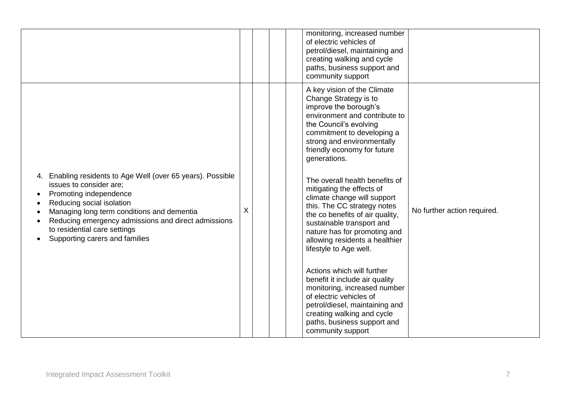|                                                                                                                                                                                                                                                                                                                         |   |  | monitoring, increased number<br>of electric vehicles of<br>petrol/diesel, maintaining and<br>creating walking and cycle<br>paths, business support and<br>community support                                                                                                                                                                                                                                                                                                                                                                                                                                                                                                                                                                                                                 |                             |
|-------------------------------------------------------------------------------------------------------------------------------------------------------------------------------------------------------------------------------------------------------------------------------------------------------------------------|---|--|---------------------------------------------------------------------------------------------------------------------------------------------------------------------------------------------------------------------------------------------------------------------------------------------------------------------------------------------------------------------------------------------------------------------------------------------------------------------------------------------------------------------------------------------------------------------------------------------------------------------------------------------------------------------------------------------------------------------------------------------------------------------------------------------|-----------------------------|
| Enabling residents to Age Well (over 65 years). Possible<br>4.<br>issues to consider are:<br>Promoting independence<br>Reducing social isolation<br>Managing long term conditions and dementia<br>Reducing emergency admissions and direct admissions<br>to residential care settings<br>Supporting carers and families | X |  | A key vision of the Climate<br>Change Strategy is to<br>improve the borough's<br>environment and contribute to<br>the Council's evolving<br>commitment to developing a<br>strong and environmentally<br>friendly economy for future<br>generations.<br>The overall health benefits of<br>mitigating the effects of<br>climate change will support<br>this. The CC strategy notes<br>the co benefits of air quality,<br>sustainable transport and<br>nature has for promoting and<br>allowing residents a healthier<br>lifestyle to Age well.<br>Actions which will further<br>benefit it include air quality<br>monitoring, increased number<br>of electric vehicles of<br>petrol/diesel, maintaining and<br>creating walking and cycle<br>paths, business support and<br>community support | No further action required. |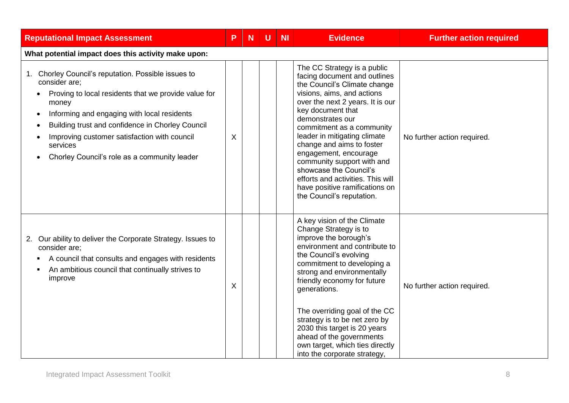| <b>Reputational Impact Assessment</b>                                                                                                                                                                                                                                                                                                                                             | P. | <b>N</b> | U | <b>NI</b> | <b>Evidence</b>                                                                                                                                                                                                                                                                                                                                                                                                                                                                       | <b>Further action required</b> |
|-----------------------------------------------------------------------------------------------------------------------------------------------------------------------------------------------------------------------------------------------------------------------------------------------------------------------------------------------------------------------------------|----|----------|---|-----------|---------------------------------------------------------------------------------------------------------------------------------------------------------------------------------------------------------------------------------------------------------------------------------------------------------------------------------------------------------------------------------------------------------------------------------------------------------------------------------------|--------------------------------|
| What potential impact does this activity make upon:                                                                                                                                                                                                                                                                                                                               |    |          |   |           |                                                                                                                                                                                                                                                                                                                                                                                                                                                                                       |                                |
| Chorley Council's reputation. Possible issues to<br>1.<br>consider are;<br>Proving to local residents that we provide value for<br>money<br>Informing and engaging with local residents<br>$\bullet$<br>Building trust and confidence in Chorley Council<br>$\bullet$<br>Improving customer satisfaction with council<br>services<br>Chorley Council's role as a community leader | X  |          |   |           | The CC Strategy is a public<br>facing document and outlines<br>the Council's Climate change<br>visions, aims, and actions<br>over the next 2 years. It is our<br>key document that<br>demonstrates our<br>commitment as a community<br>leader in mitigating climate<br>change and aims to foster<br>engagement, encourage<br>community support with and<br>showcase the Council's<br>efforts and activities. This will<br>have positive ramifications on<br>the Council's reputation. | No further action required.    |
| Our ability to deliver the Corporate Strategy. Issues to<br>2.<br>consider are;<br>A council that consults and engages with residents<br>٠<br>An ambitious council that continually strives to<br>٠<br>improve                                                                                                                                                                    | X  |          |   |           | A key vision of the Climate<br>Change Strategy is to<br>improve the borough's<br>environment and contribute to<br>the Council's evolving<br>commitment to developing a<br>strong and environmentally<br>friendly economy for future<br>generations.<br>The overriding goal of the CC<br>strategy is to be net zero by<br>2030 this target is 20 years<br>ahead of the governments<br>own target, which ties directly<br>into the corporate strategy,                                  | No further action required.    |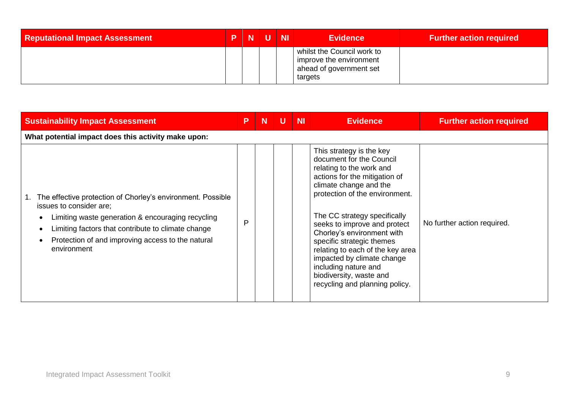| <b>Reputational Impact Assessment</b> |  | P N U N | <b>Evidence</b>                                                                             | <b>Further action required</b> |
|---------------------------------------|--|---------|---------------------------------------------------------------------------------------------|--------------------------------|
|                                       |  |         | whilst the Council work to<br>improve the environment<br>ahead of government set<br>targets |                                |

| <b>Sustainability Impact Assessment</b>                                                                                                                                                                                                                               | P | N | U | <b>NI</b> | <b>Evidence</b>                                                                                                                                                                                                                                                                                                                                                                                                                                                 | <b>Further action required</b> |  |  |  |  |
|-----------------------------------------------------------------------------------------------------------------------------------------------------------------------------------------------------------------------------------------------------------------------|---|---|---|-----------|-----------------------------------------------------------------------------------------------------------------------------------------------------------------------------------------------------------------------------------------------------------------------------------------------------------------------------------------------------------------------------------------------------------------------------------------------------------------|--------------------------------|--|--|--|--|
| What potential impact does this activity make upon:                                                                                                                                                                                                                   |   |   |   |           |                                                                                                                                                                                                                                                                                                                                                                                                                                                                 |                                |  |  |  |  |
| The effective protection of Chorley's environment. Possible<br>issues to consider are;<br>Limiting waste generation & encouraging recycling<br>Limiting factors that contribute to climate change<br>Protection of and improving access to the natural<br>environment | P |   |   |           | This strategy is the key<br>document for the Council<br>relating to the work and<br>actions for the mitigation of<br>climate change and the<br>protection of the environment.<br>The CC strategy specifically<br>seeks to improve and protect<br>Chorley's environment with<br>specific strategic themes<br>relating to each of the key area<br>impacted by climate change<br>including nature and<br>biodiversity, waste and<br>recycling and planning policy. | No further action required.    |  |  |  |  |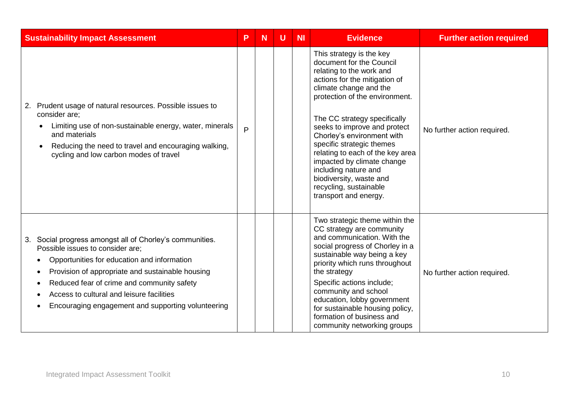| <b>Sustainability Impact Assessment</b>                                                                                                                                                                                                                                                                                                             | P | N | U | <b>NI</b> | <b>Evidence</b>                                                                                                                                                                                                                                                                                                                                                                                                                                                                  | <b>Further action required</b> |
|-----------------------------------------------------------------------------------------------------------------------------------------------------------------------------------------------------------------------------------------------------------------------------------------------------------------------------------------------------|---|---|---|-----------|----------------------------------------------------------------------------------------------------------------------------------------------------------------------------------------------------------------------------------------------------------------------------------------------------------------------------------------------------------------------------------------------------------------------------------------------------------------------------------|--------------------------------|
| Prudent usage of natural resources. Possible issues to<br>2.<br>consider are:<br>Limiting use of non-sustainable energy, water, minerals<br>and materials<br>Reducing the need to travel and encouraging walking,<br>cycling and low carbon modes of travel                                                                                         | P |   |   |           | This strategy is the key<br>document for the Council<br>relating to the work and<br>actions for the mitigation of<br>climate change and the<br>protection of the environment.<br>The CC strategy specifically<br>seeks to improve and protect<br>Chorley's environment with<br>specific strategic themes<br>relating to each of the key area<br>impacted by climate change<br>including nature and<br>biodiversity, waste and<br>recycling, sustainable<br>transport and energy. | No further action required.    |
| Social progress amongst all of Chorley's communities.<br>3.<br>Possible issues to consider are;<br>Opportunities for education and information<br>Provision of appropriate and sustainable housing<br>Reduced fear of crime and community safety<br>Access to cultural and leisure facilities<br>Encouraging engagement and supporting volunteering |   |   |   |           | Two strategic theme within the<br>CC strategy are community<br>and communication. With the<br>social progress of Chorley in a<br>sustainable way being a key<br>priority which runs throughout<br>the strategy<br>Specific actions include;<br>community and school<br>education, lobby government<br>for sustainable housing policy,<br>formation of business and<br>community networking groups                                                                                | No further action required.    |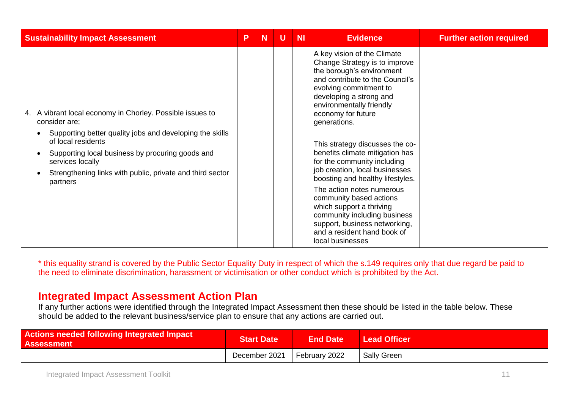| <b>Sustainability Impact Assessment</b>                                                                                                                                                                                                                                                                       | P | N | U | <b>NI</b> | <b>Evidence</b>                                                                                                                                                                                                                                                                                                                                                                                                                                                                                                                                                                                                                        | <b>Further action required</b> |
|---------------------------------------------------------------------------------------------------------------------------------------------------------------------------------------------------------------------------------------------------------------------------------------------------------------|---|---|---|-----------|----------------------------------------------------------------------------------------------------------------------------------------------------------------------------------------------------------------------------------------------------------------------------------------------------------------------------------------------------------------------------------------------------------------------------------------------------------------------------------------------------------------------------------------------------------------------------------------------------------------------------------------|--------------------------------|
| 4. A vibrant local economy in Chorley. Possible issues to<br>consider are;<br>Supporting better quality jobs and developing the skills<br>of local residents<br>Supporting local business by procuring goods and<br>services locally<br>Strengthening links with public, private and third sector<br>partners |   |   |   |           | A key vision of the Climate<br>Change Strategy is to improve<br>the borough's environment<br>and contribute to the Council's<br>evolving commitment to<br>developing a strong and<br>environmentally friendly<br>economy for future<br>generations.<br>This strategy discusses the co-<br>benefits climate mitigation has<br>for the community including<br>job creation, local businesses<br>boosting and healthy lifestyles.<br>The action notes numerous<br>community based actions<br>which support a thriving<br>community including business<br>support, business networking,<br>and a resident hand book of<br>local businesses |                                |

\* this equality strand is covered by the Public Sector Equality Duty in respect of which the s.149 requires only that due regard be paid to the need to eliminate discrimination, harassment or victimisation or other conduct which is prohibited by the Act.

## **Integrated Impact Assessment Action Plan**

If any further actions were identified through the Integrated Impact Assessment then these should be listed in the table below. These should be added to the relevant business/service plan to ensure that any actions are carried out.

| <b>Actions needed following Integrated Impact</b><br><b>Assessment</b> | <b>Start Date</b>           | <b>End Date</b> | <b>Lead Officer</b> |
|------------------------------------------------------------------------|-----------------------------|-----------------|---------------------|
|                                                                        | December 2021 February 2022 |                 | <b>Sally Green</b>  |